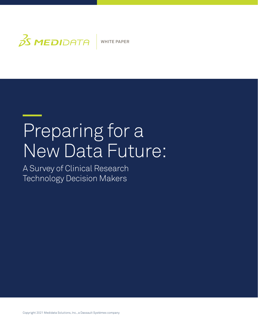

# Preparing for a New Data Future:

A Survey of Clinical Research Technology Decision Makers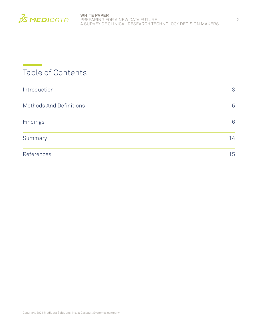

# Table of Contents

| Introduction            | 3  |
|-------------------------|----|
| Methods And Definitions | 5  |
| Findings                | 6  |
| Summary                 | 14 |
| References              | 15 |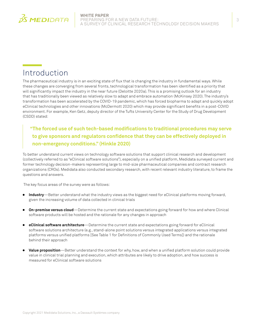

# <span id="page-2-0"></span>Introduction

The pharmaceutical industry is in an exciting state of flux that is changing the industry in fundamental ways. While these changes are converging from several fronts, technological transformation has been identified as a priority that will significantly impact the industry in the near future (Deloitte 2020a). This is a promising outlook for an industry that has traditionally been viewed as relatively slow to adapt and embrace automation (McKinsey 2020). The industry's transformation has been accelerated by the COVID-19 pandemic, which has forced biopharma to adapt and quickly adopt eClinical technologies and other innovations (McDermott 2020) which may provide significant benefits in a post-COVID environment. For example, Ken Getz, deputy director of the Tufts University Center for the Study of Drug Development (CSDD) stated:

## **"The forced use of such tech-based modifications to traditional procedures may serve to give sponsors and regulators confidence that they can be effectively deployed in non-emergency conditions." (Hinkle 2020)**

To better understand current views on technology software solutions that support clinical research and development (collectively referred to as "eClinical software solutions"), especially on a unified platform, Medidata surveyed current and former technology decision-makers representing large to mid-size pharmaceutical companies and contract research organizations (CROs). Medidata also conducted secondary research, with recent relevant industry literature, to frame the questions and answers.

The key focus areas of the survey were as follows:

- <sup>ā</sup> **Industry**—Better understand what the industry views as the biggest need for eClinical platforms moving forward, given the increasing volume of data collected in clinical trials
- <sup>ā</sup> **On-premise versus cloud**—Determine the current state and expectations going forward for how and where Clinical software products will be hosted and the rationale for any changes in approach
- **eClinical software architecture**—Determine the current state and expectations going forward for eClinical software solutions architecture (e.g., stand-alone point solutions versus integrated applications versus integrated platforms versus unified platforms [See Table 1 for Definitions of Commonly Used Terms]) and the rationale behind their approach
- **Value proposition**—Better understand the context for why, how, and when a unified platform solution could provide value in clinical trial planning and execution, which attributes are likely to drive adoption, and how success is measured for eClinical software solutions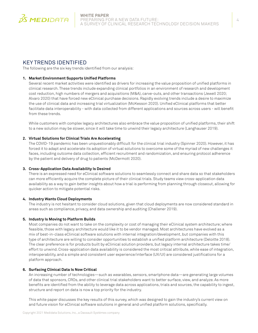

### KEY TRENDS IDENTIFIED

The following are the six key trends identified from our analysis:

#### **1. Market Environment Supports Unified Platforms**

Several recent market activities were identified as drivers for increasing the value proposition of unified platforms in clinical research. These trends include expanding clinical portfolios in an environment of research and development cost reduction, high numbers of mergers and acquisitions (M&A), carve-outs, and other transactions (Jewell 2020; Alvaro 2020) that have forced new eClinical purchase decisions. Rapidly evolving trends include a desire to maximize the use of clinical data and increasing trial virtualization (McKesson 2020). Unified eClinical platforms that better facilitate data interoperability - with data collected from different applications and sources across users - will benefit from these trends.

While customers with complex legacy architectures also embrace the value proposition of unified platforms, their shift to a new solution may be slower, since it will take time to unwind their legacy architecture (Langhauser 2019).

#### **2. Virtual Solutions for Clinical Trials Are Accelerating**

The COVID-19 pandemic has been unquestionably difficult for the clinical trial industry (Spinner 2020). However, it has forced it to adapt and accelerate its adoption of virtual solutions to overcome some of the myriad of new challenges it faces, including outcome data collection, efficient recruitment and randomization, and ensuring protocol adherence by the patient and delivery of drug to patients (McDermott 2020).

#### **3. Cross-Application Data Availability Is Desired**

There is an expressed need for eClinical software solutions to seamlessly connect and share data so that stakeholders can more efficiently acquire the complete picture of their clinical trials. Study teams view cross-application data availability as a way to gain better insights about how a trial is performing from planning through closeout, allowing for quicker action to mitigate potential risks.

#### **4. Industry Wants Cloud Deployments**

The industry is not hesitant to consider cloud solutions, given that cloud deployments are now considered standard in areas such as compliance, privacy, and data ownership and auditing (Challener 2019).

#### **5. Industry Is Moving to Platform Builds**

Most companies do not want to take on the complexity or cost of managing their eClinical system architecture; where feasible, those with legacy architecture would like it to be vendor managed. Most architectures have evolved as a mix of best-in-class eClinical software solutions with internal integration/development, but companies with this type of architecture are willing to consider opportunities to establish a unified platform architecture (Deloitte 2018). The clear preference is for products built by eClinical solution providers, but legacy internal architecture takes time/ effort to unwind. Cross-application data availability is considered the most critical attribute, while ease of integration, interoperability, and a simple and consistent user experience/interface (UX/UI) are considered justifications for a platform approach.

#### **6. Surfacing Clinical Data Is Now Critical**

An increasing number of technologies—such as wearables, sensors, smartphone data—are generating large volumes of data that sponsors, CROs, and other clinical trial stakeholders want to better surface, view, and analyze. As more benefits are identified from the ability to leverage data across applications, trials and sources, the capability to ingest, structure and report on data is now a top priority for the industry.

This white paper discusses the key results of this survey, which was designed to gain the industry's current view on and future vision for eClinical software solutions in general and unified platform solutions, specifically.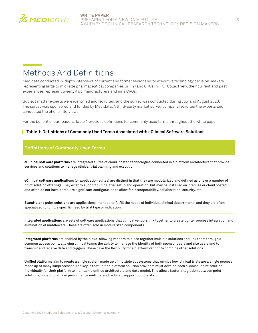<span id="page-4-0"></span>

# <span id="page-4-1"></span>Methods And Definitions

Medidata conducted in-depth interviews of current and former senior and/or executive technology decision-makers representing large to mid-size pharmaceutical companies  $(n = 9)$  and CROs  $(n = 3)$ . Collectively, their current and past experiences represent twenty-two manufacturers and nine CROs.

Subject matter experts were identified and recruited, and the survey was conducted during July and August 2020. The survey was sponsored and funded by Medidata. A third-party market survey company recruited the experts and conducted the phone interviews.

For the benefit of our readers, Table 1 provides definitions for commonly used terms throughout the white paper.

#### **Table 1: Definitions of Commonly Used Terms Associated with eClinical Software Solutions**

### **Definitions of Commonly Used Terms**

**eClinical software platforms** are integrated suites of cloud-hosted technologies connected in a platform architecture that provide services and solutions to manage clinical trial planning and execution.

**eClinical software applications** (or application suites) are distinct in that they are modularized and defined as one or a number of point solution offerings. They exist to support clinical trial setup and operation, but may be installed on-premise or cloud hosted and often do not have or require significant configuration to allow for interoperability, collaboration, security, etc.

**Stand-alone point solutions** are applications intended to fulfill the needs of individual clinical departments, and they are often specialized to fulfill a specific need by trial type or indication.

**Integrated applications** are sets of software applications that clinical vendors link together to create tighter process integration and elimination of middleware. These are often sold in modularized components.

**Integrated platforms** are enabled by the cloud, allowing vendors to piece together multiple solutions and link them through a common access point, allowing clinical teams the ability to manage the identity of both sponsor users and site users and to transmit and receive data and triggers. These have the flexibility for a platform vendor to combine other solutions.

**Unified platforms** aim to create a single system made up of multiple subsystems that mimics how clinical trials are a single process made up of many subprocesses. The key is that unified platform solution providers must develop each eClinical point solution individually for their platform to maintain a unified architecture and data model. This allows faster integration between point solutions, holistic platform performance metrics, and reduced support complexity.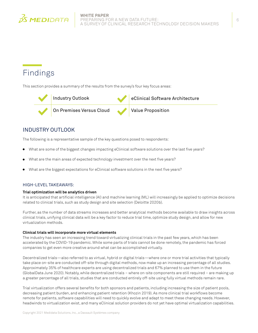<span id="page-5-0"></span>

# Findings

This section provides a summary of the results from the survey's four key focus areas:



### INDUSTRY OUTLOOK

The following is a representative sample of the key questions posed to respondents:

- What are some of the biggest changes impacting eClinical software solutions over the last five years?
- What are the main areas of expected technology investment over the next five years?
- What are the biggest expectations for eClinical software solutions in the next five years?

#### HIGH-LEVEL TAKEAWAYS:

#### **Trial optimization will be analytics driven**

It is anticipated that artificial intelligence (AI) and machine learning (ML) will increasingly be applied to optimize decisions related to clinical trials, such as study design and site selection (Deloitte 2020b).

Further, as the number of data streams increases and better analytical methods become available to draw insights across clinical trials, unifying clinical data will be a key factor to reduce trial time, optimize study design, and allow for new virtualization methods.

#### **Clinical trials will incorporate more virtual elements**

The industry has seen an increasing trend toward virtualizing clinical trials in the past few years, which has been accelerated by the COVID-19 pandemic. While some parts of trials cannot be done remotely, the pandemic has forced companies to get even more creative around what can be accomplished virtually.

Decentralized trials—also referred to as virtual, hybrid or digital trials—where one or more trial activities that typically take place on-site are conducted off-site through digital methods, now make up an increasing percentage of all studies. Approximately 35% of healthcare experts are using decentralized trials and 67% planned to use them in the future (GlobalData June 2020). Notably, while decentralized trials – where on-site components are still required – are making up a greater percentage of all trials, studies that are conducted entirely off-site using fully virtual methods remain rare.

Trial virtualization offers several benefits for both sponsors and patients, including increasing the size of patient pools, decreasing patient burden, and enhancing patient retention (Khozin 2019). As more clinical trial workflows become remote for patients, software capabilities will need to quickly evolve and adapt to meet these changing needs. However, headwinds to virtualization exist, and many eClinical solution providers do not yet have optimal virtualization capabilities.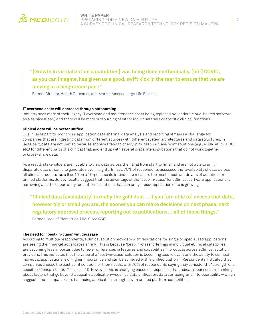

**"[Growth in virtualization capabilities] was being done methodically, [but] COVID, as you can imagine, has given us a good, swift kick in the rear to ensure that we are moving at a heightened pace."** 

Former Director, Health Outcomes and Market Access, Large Life Sciences

#### **IT overhead costs will decrease through outsourcing**

Industry sees more of their legacy IT overhead and maintenance costs being replaced by vendors' cloud-hosted software as a service (SaaS) and there will be more outsourcing of either individual trials or specific clinical functions.

#### **Clinical data will be better unified**

Due in large part to poor cross-application data sharing, data analysis and reporting remains a challenge for companies that are ingesting data from different sources with different system architectures and data structures. In large part, data are not unified because sponsors tend to cherry-pick best-in-class point solutions (e.g., eCOA, ePRO, EDC, etc.) for different parts of a clinical trial, and end up with several disparate applications that do not work together or cross-share data.

As a result, stakeholders are not able to view data across their trial from start to finish and are not able to unify disparate data streams to generate novel insights. In fact, 75% of respondents assessed the "availability of data across all clinical products" as a 9 or 10 on a 10-point scale intended to measure the most important drivers of adoption for unified platforms. Survey results suggest that the advantage of the "best-in-class" for eClinical software applications is narrowing and the opportunity for platform solutions that can unify cross-application data is growing.

**"Clinical data [availability] is really the gold dust… if you [are able to] access that data, however big or small you are, the sooner you can make decisions on next phase, next regulatory approval process, reporting out to publications… all of those things."**  Former Head of Biometrics, Mid-Sized CRO

#### **The need for "best-in-class" will decrease**

According to multiple respondents, eClinical solution providers with reputations for single or specialized applications are seeing their market advantages shrink. This is because "best-in-class" offerings in individual eClinical categories are becoming less important due to fewer differences in features and capabilities in products across eClinical solution providers. This indicates that the value of a "best-in-class" solution is becoming less relevant and the ability to connect individual applications is of higher importance and can be achieved with a unified platform. Respondents indicated that companies choose the best point solution for their needs, with 70% of respondents saying they consider the "strength of a specific eClinical solution" as a 9 or 10. However, this is changing based on responses that indicate sponsors are thinking about factors that go beyond a specific application—such as data unification, data surfacing, and interoperability—which suggests that companies are balancing application strengths with unified platform capabilities.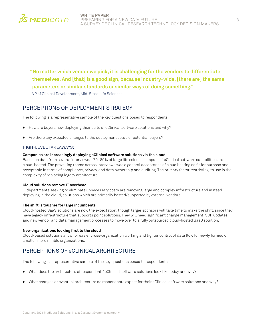

**"No matter which vendor we pick, it is challenging for the vendors to differentiate themselves. And [that] is a good sign, because industry-wide, [there are] the same parameters or similar standards or similar ways of doing something."** 

VP of Clinical Development, Mid-Sized Life Sciences

### PERCEPTIONS OF DEPLOYMENT STRATEGY

The following is a representative sample of the key questions posed to respondents:

- How are buyers now deploying their suite of eClinical software solutions and why?
- Are there any expected changes to the deployment setup of potential buyers?

#### HIGH-LEVEL TAKEAWAYS:

#### **Companies are increasingly deploying eClinical software solutions via the cloud**

Based on data from several interviews, ~70–80% of large life science companies' eClinical software capabilities are cloud-hosted. The prevailing theme across interviews was a general acceptance of cloud hosting as fit for purpose and acceptable in terms of compliance, privacy, and data ownership and auditing. The primary factor restricting its use is the complexity of replacing legacy architecture.

#### **Cloud solutions remove IT overhead**

IT departments seeking to eliminate unnecessary costs are removing large and complex infrastructure and instead deploying in the cloud, solutions which are primarily hosted/supported by external vendors.

#### **The shift is tougher for large incumbents**

Cloud-hosted SaaS solutions are now the expectation, though larger sponsors will take time to make the shift, since they have legacy infrastructure that supports point solutions. They will need significant change management, SOP updates, and new vendor and data management processes to move over to a fully outsourced cloud-hosted SaaS solution.

#### **New organizations looking first to the cloud**

Cloud-based solutions allow for easier cross-organization working and tighter control of data flow for newly formed or smaller, more nimble organizations.

### PERCEPTIONS OF eCLINICAL ARCHITECTURE

The following is a representative sample of the key questions posed to respondents:

- What does the architecture of respondents' eClinical software solutions look like today and why?
- What changes or eventual architecture do respondents expect for their eClinical software solutions and why?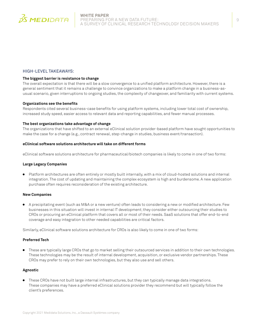

#### HIGH-LEVEL TAKEAWAYS:

#### **The biggest barrier is resistance to change**

The overall expectation is that there will be a slow convergence to a unified platform architecture. However, there is a general sentiment that it remains a challenge to convince organizations to make a platform change in a business-asusual scenario, given interruptions to ongoing studies, the complexity of changeover, and familiarity with current systems.

#### **Organizations see the benefits**

Respondents cited several business-case benefits for using platform systems, including lower total cost of ownership, increased study speed, easier access to relevant data and reporting capabilities, and fewer manual processes.

#### **The best organizations take advantage of change**

The organizations that have shifted to an external eClinical solution provider-based platform have sought opportunities to make the case for a change (e.g., contract renewal, step-change in studies, business event/transaction).

#### **eClinical software solutions architecture will take on different forms**

eClinical software solutions architecture for pharmaceutical/biotech companies is likely to come in one of two forms:

#### **Large Legacy Companies**

Platform architectures are often entirely or mostly built internally, with a mix of cloud-hosted solutions and internal integration. The cost of updating and maintaining the complex ecosystem is high and burdensome. A new application purchase often requires reconsideration of the existing architecture.

#### **New Companies**

<sup>ā</sup> A precipitating event (such as M&A or a new venture) often leads to considering a new or modified architecture. Few businesses in this situation will invest in internal IT development; they consider either outsourcing their studies to CROs or procuring an eClinical platform that covers all or most of their needs. SaaS solutions that offer end-to-end coverage and easy integration to other needed capabilities are critical factors.

Similarly, eClinical software solutions architecture for CROs is also likely to come in one of two forms:

#### **Preferred Tech**

These are typically large CROs that go to market selling their outsourced services in addition to their own technologies. These technologies may be the result of internal development, acquisition, or exclusive vendor partnerships. These CROs may prefer to rely on their own technologies, but they also use and sell others.

#### **Agnostic**

<sup>ā</sup> These CROs have not built large internal infrastructures, but they can typically manage data integrations. These companies may have a preferred eClinical solutions provider they recommend but will typically follow the client's preferences.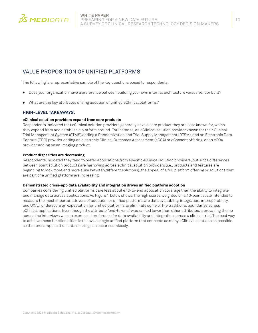

### VALUE PROPOSITION OF UNIFIED PLATFORMS

The following is a representative sample of the key questions posed to respondents:

- Does your organization have a preference between building your own internal architecture versus vendor built?
- What are the key attributes driving adoption of unified eClinical platforms?

#### **HIGH-LEVEL TAKEAWAYS:**

#### **eClinical solution providers expand from core products**

Respondents indicated that eClinical solution providers generally have a core product they are best known for, which they expand from and establish a platform around. For instance, an eClinical solution provider known for their Clinical Trial Management System (CTMS) adding a Randomization and Trial Supply Management (RTSM), and an Electronic Data Capture (EDC) provider adding an electronic Clinical Outcomes Assessment (eCOA) or eConsent offering, or an eCOA provider adding on an imaging product.

#### **Product disparities are decreasing**

Respondents indicated they tend to prefer applications from specific eClinical solution providers, but since differences between point solution products are narrowing across eClinical solution providers (i.e., products and features are beginning to look more and more alike between different solutions), the appeal of a full platform offering or solutions that are part of a unified platform are increasing.

#### **Demonstrated cross-app data availability and integration drives unified platform adoption**

Companies considering unified platforms care less about end-to-end application coverage than the ability to integrate and manage data across applications. As Figure 1 below shows, the high scores weighted on a 10-point scale intended to measure the most important drivers of adoption for unified platforms are data availability, integration, interoperability, and UX/UI underscore an expectation for unified platforms to eliminate some of the traditional boundaries across eClinical applications. Even though the attribute "end-to-end" was ranked lower than other attributes, a prevailing theme across the interviews was an expressed preference for data availability and integration across a clinical trial. The best way to achieve these functionalities is to have a single unified platform that connects as many eClinical solutions as possible so that cross-application data sharing can occur seamlessly.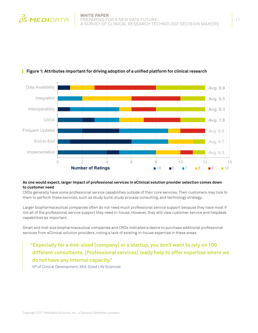



#### L **Figure 1: Attributes important for driving adoption of a unified platform for clinical research**

#### **As one would expect, larger impact of professional services in eClinical solution provider selection comes down to customer need**

CROs generally have some professional service capabilities outside of their core services. Their customers may look to them to perform these services, such as study build, study process consulting, and technology strategy.

Larger biopharmaceutical companies often do not need much professional service support because they have most if not all of the professional service support they need in-house. However, they still view customer service and helpdesk capabilities as important.

Small and mid-size biopharmaceutical companies and CROs indicated a desire to purchase additional professional services from eClinical solution providers, noting a lack of existing in-house expertise in these areas.

**"Especially for a mid-sized [company] or a startup, you don't want to rely on 100 different consultants. [Professional services] really help to offer expertise where we do not have any internal capacity."** 

VP of Clinical Development, Mid-Sized Life Sciences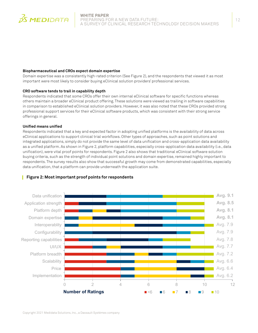

#### **Biopharmaceutical and CROs expect domain expertise**

Domain expertise was a consistently high-rated criterion (See Figure 2), and the respondents that viewed it as most important were most likely to consider buying eClinical solution providers' professional services.

#### **CRO software tends to trail in capability depth**

Respondents indicated that some CROs offer their own internal eClinical software for specific functions whereas others maintain a broader eClinical product offering. These solutions were viewed as trailing in software capabilities in comparison to established eClinical solution providers. However, it was also noted that these CROs provided strong professional support services for their eClinical software products, which was consistent with their strong service offerings in general.

#### **Unified means unified**

Respondents indicated that a key and expected factor in adopting unified platforms is the availability of data across eClinical applications to support clinical trial workflows. Other types of approaches, such as point solutions and integrated applications, simply do not provide the same level of data unification and cross-application data availability as a unified platform. As shown in Figure 2, platform capabilities, especially cross-application data availability (i.e., data unification), were vital proof points for respondents. Figure 2 also shows that traditional eClinical software solution buying criteria, such as the strength of individual point solutions and domain expertise, remained highly important to respondents. The survey results also show that successful growth may come from demonstrated capabilities, especially data unification, that a platform can provide underneath the application suite.



#### **Figure 2: Most important proof points for respondents**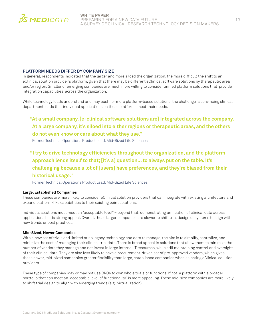

#### **PLATFORM NEEDS DIFFER BY COMPANY SIZE**

In general, respondents indicated that the larger and more siloed the organization, the more difficult the shift to an eClinical solution provider's platform, given that there may be different eClinical software solutions by therapeutic area and/or region. Smaller or emerging companies are much more willing to consider unified platform solutions that provide integration capabilities across the organization.

While technology leads understand and may push for more platform-based solutions, the challenge is convincing clinical department leads that individual applications on those platforms meet their needs.

**"At a small company, [e-clinical software solutions are] integrated across the company. At a large company, it's siloed into either regions or therapeutic areas, and the others do not even know or care about what they use."** 

Former Technical Operations Product Lead, Mid-Sized Life Sciences

**"I try to drive technology efficiencies throughout the organization, and the platform approach lends itself to that; [it's a] question... to always put on the table. It's challenging because a lot of [users] have preferences, and they're biased from their historical usage."** 

Former Technical Operations Product Lead, Mid-Sized Life Sciences

#### **Large, Established Companies**

These companies are more likely to consider eClinical solution providers that can integrate with existing architecture and expand platform-like capabilities to their existing point solutions.

Individual solutions must meet an "acceptable level" – beyond that, demonstrating unification of clinical data across applications holds strong appeal. Overall, these larger companies are slower to shift trial design or systems to align with new trends or best practices.

#### **Mid-Sized, Newer Companies**

With a new set of trials and limited or no legacy technology and data to manage, the aim is to simplify, centralize, and minimize the cost of managing their clinical trial data. There is broad appeal in solutions that allow them to minimize the number of vendors they manage and not invest in large internal IT resources, while still maintaining control and oversight of their clinical data. They are also less likely to have a procurement-driven set of pre-approved vendors, which gives these newer, mid-sized companies greater flexibility than large, established companies when selecting eClinical solution providers.

These type of companies may or may not use CROs to own whole trials or functions. If not, a platform with a broader portfolio that can meet an "acceptable level of functionality" is more appealing. These mid-size companies are more likely to shift trial design to align with emerging trends (e.g., virtualization).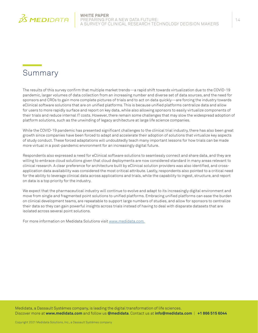<span id="page-13-0"></span>

# <span id="page-13-1"></span>Summary

The results of this survey confirm that multiple market trends—a rapid shift towards virtualization due to the COVID-19 pandemic, larger volumes of data collection from an increasing number and diverse set of data sources, and the need for sponsors and CROs to gain more complete pictures of trials and to act on data quickly—are forcing the industry towards eClinical software solutions that are on unified platforms. This is because unified platforms centralize data and allow for users to more rapidly surface and report on key data, while also allowing sponsors to easily virtualize components of their trials and reduce internal IT costs. However, there remain some challenges that may slow the widespread adoption of platform solutions, such as the unwinding of legacy architecture at large life science companies.

While the COVID-19 pandemic has presented significant challenges to the clinical trial industry, there has also been great growth since companies have been forced to adapt and accelerate their adoption of solutions that virtualize key aspects of study conduct. These forced adaptations will undoubtedly teach many important lessons for how trials can be made more virtual in a post-pandemic environment for an increasingly digital future.

Respondents also expressed a need for eClinical software solutions to seamlessly connect and share data, and they are willing to embrace cloud solutions given that cloud deployments are now considered standard in many areas relevant to clinical research. A clear preference for architecture built by eClinical solution providers was also identified, and crossapplication data availability was considered the most critical attribute. Lastly, respondents also pointed to a critical need for the ability to leverage clinical data across applications and trials, while the capability to ingest, structure, and report on data is a top priority for the industry.

We expect that the pharmaceutical industry will continue to evolve and adapt to its increasingly digital environment and move from single and fragmented point solutions to unified platforms. Embracing unified platforms can ease the burden on clinical development teams, are repeatable to support large numbers of studies, and allow for sponsors to centralize their data so they can gain powerful insights across trials instead of having to deal with disparate datasets that are isolated across several point solutions.

For more information on Medidata Solutions visit [www.medidata.com.](http://www.medidata.com)